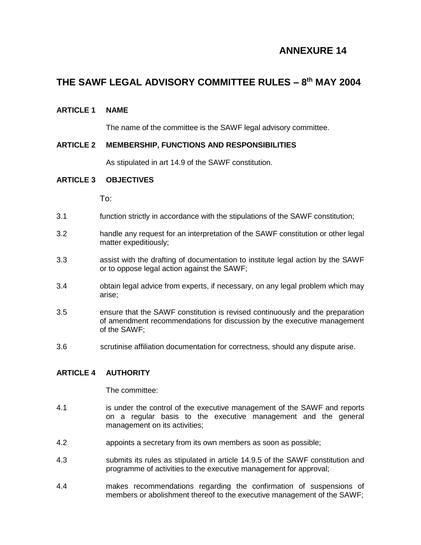# **ANNEXURE 14**

# **THE SAWF LEGAL ADVISORY COMMITTEE RULES – 8 th MAY 2004**

# **ARTICLE 1 NAME**

The name of the committee is the SAWF legal advisory committee.

# **ARTICLE 2 MEMBERSHIP, FUNCTIONS AND RESPONSIBILITIES**

As stipulated in art 14.9 of the SAWF constitution.

### **ARTICLE 3 OBJECTIVES**

To:

- 3.1 function strictly in accordance with the stipulations of the SAWF constitution;
- 3.2 handle any request for an interpretation of the SAWF constitution or other legal matter expeditiously;
- 3.3 assist with the drafting of documentation to institute legal action by the SAWF or to oppose legal action against the SAWF;
- 3.4 obtain legal advice from experts, if necessary, on any legal problem which may arise;
- 3.5 ensure that the SAWF constitution is revised continuously and the preparation of amendment recommendations for discussion by the executive management of the SAWF;
- 3.6 scrutinise affiliation documentation for correctness, should any dispute arise.

# **ARTICLE 4 AUTHORITY**

The committee:

- 4.1 is under the control of the executive management of the SAWF and reports on a regular basis to the executive management and the general management on its activities;
- 4.2 appoints a secretary from its own members as soon as possible;
- 4.3 submits its rules as stipulated in article 14.9.5 of the SAWF constitution and programme of activities to the executive management for approval;
- 4.4 makes recommendations regarding the confirmation of suspensions of members or abolishment thereof to the executive management of the SAWF;